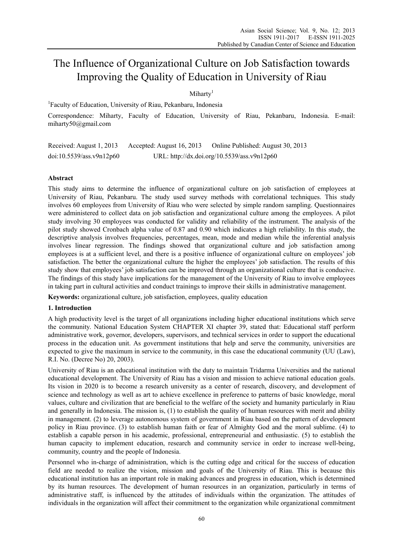# The Influence of Organizational Culture on Job Satisfaction towards Improving the Quality of Education in University of Riau

Miharty<sup>1</sup>

1 Faculty of Education, University of Riau, Pekanbaru, Indonesia

Correspondence: Miharty, Faculty of Education, University of Riau, Pekanbaru, Indonesia. E-mail: miharty50@gmail.com

Received: August 1, 2013 Accepted: August 16, 2013 Online Published: August 30, 2013 doi:10.5539/ass.v9n12p60 URL: http://dx.doi.org/10.5539/ass.v9n12p60

# **Abstract**

This study aims to determine the influence of organizational culture on job satisfaction of employees at University of Riau, Pekanbaru. The study used survey methods with correlational techniques. This study involves 60 employees from University of Riau who were selected by simple random sampling. Questionnaires were administered to collect data on job satisfaction and organizational culture among the employees. A pilot study involving 30 employees was conducted for validity and reliability of the instrument. The analysis of the pilot study showed Cronbach alpha value of 0.87 and 0.90 which indicates a high reliability. In this study, the descriptive analysis involves frequencies, percentages, mean, mode and median while the inferential analysis involves linear regression. The findings showed that organizational culture and job satisfaction among employees is at a sufficient level, and there is a positive influence of organizational culture on employees' job satisfaction. The better the organizational culture the higher the employees' job satisfaction. The results of this study show that employees' job satisfaction can be improved through an organizational culture that is conducive. The findings of this study have implications for the management of the University of Riau to involve employees in taking part in cultural activities and conduct trainings to improve their skills in administrative management.

**Keywords:** organizational culture, job satisfaction, employees, quality education

### **1. Introduction**

A high productivity level is the target of all organizations including higher educational institutions which serve the community. National Education System CHAPTER XI chapter 39, stated that: Educational staff perform administrative work, governor, developers, supervisors, and technical services in order to support the educational process in the education unit. As government institutions that help and serve the community, universities are expected to give the maximum in service to the community, in this case the educational community (UU (Law), R.I. No. (Decree No) 20, 2003).

University of Riau is an educational institution with the duty to maintain Tridarma Universities and the national educational development. The University of Riau has a vision and mission to achieve national education goals. Its vision in 2020 is to become a research university as a center of research, discovery, and development of science and technology as well as art to achieve excellence in preference to patterns of basic knowledge, moral values, culture and civilization that are beneficial to the welfare of the society and humanity particularly in Riau and generally in Indonesia. The mission is, (1) to establish the quality of human resources with merit and ability in management. (2) to leverage autonomous system of government in Riau based on the pattern of development policy in Riau province. (3) to establish human faith or fear of Almighty God and the moral sublime. (4) to establish a capable person in his academic, professional, entrepreneurial and enthusiastic. (5) to establish the human capacity to implement education, research and community service in order to increase well-being, community, country and the people of Indonesia.

Personnel who in-charge of administration, which is the cutting edge and critical for the success of education field are needed to realize the vision, mission and goals of the University of Riau. This is because this educational institution has an important role in making advances and progress in education, which is determined by its human resources. The development of human resources in an organization, particularly in terms of administrative staff, is influenced by the attitudes of individuals within the organization. The attitudes of individuals in the organization will affect their commitment to the organization while organizational commitment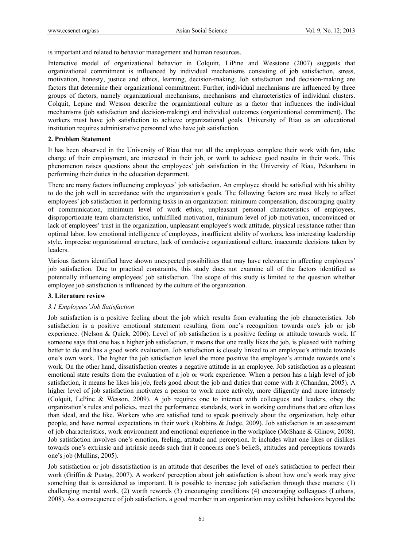is important and related to behavior management and human resources.

Interactive model of organizational behavior in Colquitt, LiPine and Wesstone (2007) suggests that organizational commitment is influenced by individual mechanisms consisting of job satisfaction, stress, motivation, honesty, justice and ethics, learning, decision-making. Job satisfaction and decision-making are factors that determine their organizational commitment. Further, individual mechanisms are influenced by three groups of factors, namely organizational mechanisms, mechanisms and characteristics of individual clusters. Colquit, Lepine and Wesson describe the organizational culture as a factor that influences the individual mechanisms (job satisfaction and decision-making) and individual outcomes (organizational commitment). The workers must have job satisfaction to achieve organizational goals. University of Riau as an educational institution requires administrative personnel who have job satisfaction.

#### **2. Problem Statement**

It has been observed in the University of Riau that not all the employees complete their work with fun, take charge of their employment, are interested in their job, or work to achieve good results in their work. This phenomenon raises questions about the employees' job satisfaction in the University of Riau, Pekanbaru in performing their duties in the education department.

There are many factors influencing employees' job satisfaction. An employee should be satisfied with his ability to do the job well in accordance with the organization's goals. The following factors are most likely to affect employees' job satisfaction in performing tasks in an organization: minimum compensation, discouraging quality of communication, minimum level of work ethics, unpleasant personal characteristics of employees, disproportionate team characteristics, unfulfilled motivation, minimum level of job motivation, unconvinced or lack of employees' trust in the organization, unpleasant employee's work attitude, physical resistance rather than optimal labor, low emotional intelligence of employees, insufficient ability of workers, less interesting leadership style, imprecise organizational structure, lack of conducive organizational culture, inaccurate decisions taken by leaders.

Various factors identified have shown unexpected possibilities that may have relevance in affecting employees' job satisfaction. Due to practical constraints, this study does not examine all of the factors identified as potentially influencing employees' job satisfaction. The scope of this study is limited to the question whether employee job satisfaction is influenced by the culture of the organization.

### **3. Literature review**

### *3.1 Employees' Job Satisfaction*

Job satisfaction is a positive feeling about the job which results from evaluating the job characteristics. Job satisfaction is a positive emotional statement resulting from one's recognition towards one's job or job experience. (Nelson & Quick, 2006). Level of job satisfaction is a positive feeling or attitude towards work. If someone says that one has a higher job satisfaction, it means that one really likes the job, is pleased with nothing better to do and has a good work evaluation. Job satisfaction is closely linked to an employee's attitude towards one's own work. The higher the job satisfaction level the more positive the employee's attitude towards one's work. On the other hand, dissatisfaction creates a negative attitude in an employee. Job satisfaction as a pleasant emotional state results from the evaluation of a job or work experience. When a person has a high level of job satisfaction, it means he likes his job, feels good about the job and duties that come with it (Chandan, 2005). A higher level of job satisfaction motivates a person to work more actively, more diligently and more intensely (Colquit, LePine & Wesson, 2009). A job requires one to interact with colleagues and leaders, obey the organization's rules and policies, meet the performance standards, work in working conditions that are often less than ideal, and the like. Workers who are satisfied tend to speak positively about the organization, help other people, and have normal expectations in their work (Robbins & Judge, 2009). Job satisfaction is an assessment of job characteristics, work environment and emotional experience in the workplace (McShane & Glinow, 2008). Job satisfaction involves one's emotion, feeling, attitude and perception. It includes what one likes or dislikes towards one's extrinsic and intrinsic needs such that it concerns one's beliefs, attitudes and perceptions towards one's job (Mullins, 2005).

Job satisfaction or job dissatisfaction is an attitude that describes the level of one's satisfaction to perfect their work (Griffin & Pustay, 2007). A workers' perception about job satisfaction is about how one's work may give something that is considered as important. It is possible to increase job satisfaction through these matters: (1) challenging mental work, (2) worth rewards (3) encouraging conditions (4) encouraging colleagues (Luthans, 2008). As a consequence of job satisfaction, a good member in an organization may exhibit behaviors beyond the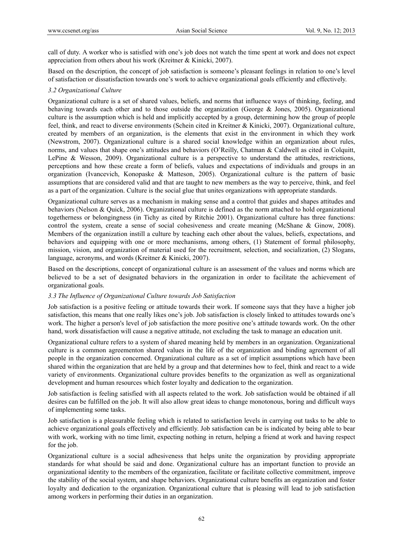call of duty. A worker who is satisfied with one's job does not watch the time spent at work and does not expect appreciation from others about his work (Kreitner & Kinicki, 2007).

Based on the description, the concept of job satisfaction is someone's pleasant feelings in relation to one's level of satisfaction or dissatisfaction towards one's work to achieve organizational goals efficiently and effectively.

# *3.2 Organizational Culture*

Organizational culture is a set of shared values, beliefs, and norms that influence ways of thinking, feeling, and behaving towards each other and to those outside the organization (George & Jones, 2005). Organizational culture is the assumption which is held and implicitly accepted by a group, determining how the group of people feel, think, and react to diverse environments (Schein cited in Kreitner & Kinicki, 2007). Organizational culture, created by members of an organization, is the elements that exist in the environment in which they work (Newstrom, 2007). Organizational culture is a shared social knowledge within an organization about rules, norms, and values that shape one's attitudes and behaviors (O'Reilly, Chatman & Caldwell as cited in Colquitt, LePine & Wesson, 2009). Organizational culture is a perspective to understand the attitudes, restrictions, perceptions and how these create a form of beliefs, values and expectations of individuals and groups in an organization (Ivancevich, Konopaske & Matteson, 2005). Organizational culture is the pattern of basic assumptions that are considered valid and that are taught to new members as the way to perceive, think, and feel as a part of the organization. Culture is the social glue that unites organizations with appropriate standards.

Organizational culture serves as a mechanism in making sense and a control that guides and shapes attitudes and behaviors (Nelson & Quick, 2006). Organizational culture is defined as the norm attached to hold organizational togetherness or belongingness (in Tichy as cited by Ritchie 2001). Organizational culture has three functions: control the system, create a sense of social cohesiveness and create meaning (McShane & Ginow, 2008). Members of the organization instill a culture by teaching each other about the values, beliefs, expectations, and behaviors and equipping with one or more mechanisms, among others, (1) Statement of formal philosophy, mission, vision, and organization of material used for the recruitment, selection, and socialization, (2) Slogans, language, acronyms, and words (Kreitner & Kinicki, 2007).

Based on the descriptions, concept of organizational culture is an assessment of the values and norms which are believed to be a set of designated behaviors in the organization in order to facilitate the achievement of organizational goals.

### *3.3 The Influence of Organizational Culture towards Job Satisfaction*

Job satisfaction is a positive feeling or attitude towards their work. If someone says that they have a higher job satisfaction, this means that one really likes one's job. Job satisfaction is closely linked to attitudes towards one's work. The higher a person's level of job satisfaction the more positive one's attitude towards work. On the other hand, work dissatisfaction will cause a negative attitude, not excluding the task to manage an education unit.

Organizational culture refers to a system of shared meaning held by members in an organization. Organizational culture is a common agreementon shared values in the life of the organization and binding agreement of all people in the organization concerned. Organizational culture as a set of implicit assumptions which have been shared within the organization that are held by a group and that determines how to feel, think and react to a wide variety of environments. Organizational culture provides benefits to the organization as well as organizational development and human resources which foster loyalty and dedication to the organization.

Job satisfaction is feeling satisfied with all aspects related to the work. Job satisfaction would be obtained if all desires can be fulfilled on the job. It will also allow great ideas to change monotonous, boring and difficult ways of implementing some tasks.

Job satisfaction is a pleasurable feeling which is related to satisfaction levels in carrying out tasks to be able to achieve organizational goals effectively and efficiently. Job satisfaction can be is indicated by being able to bear with work, working with no time limit, expecting nothing in return, helping a friend at work and having respect for the job.

Organizational culture is a social adhesiveness that helps unite the organization by providing appropriate standards for what should be said and done. Organizational culture has an important function to provide an organizational identity to the members of the organization, facilitate or facilitate collective commitment, improve the stability of the social system, and shape behaviors. Organizational culture benefits an organization and foster loyalty and dedication to the organization. Organizational culture that is pleasing will lead to job satisfaction among workers in performing their duties in an organization.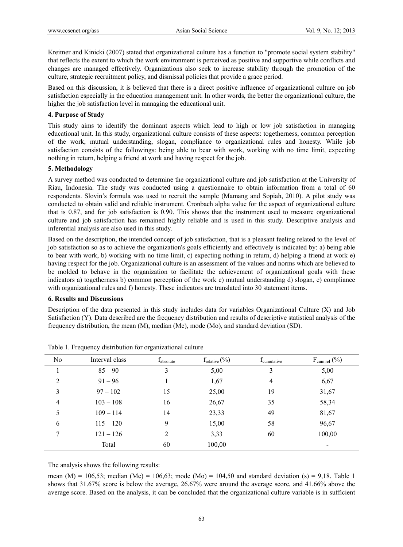Kreitner and Kinicki (2007) stated that organizational culture has a function to "promote social system stability" that reflects the extent to which the work environment is perceived as positive and supportive while conflicts and changes are managed effectively. Organizations also seek to increase stability through the promotion of the culture, strategic recruitment policy, and dismissal policies that provide a grace period.

Based on this discussion, it is believed that there is a direct positive influence of organizational culture on job satisfaction especially in the education management unit. In other words, the better the organizational culture, the higher the job satisfaction level in managing the educational unit.

### **4. Purpose of Study**

This study aims to identify the dominant aspects which lead to high or low job satisfaction in managing educational unit. In this study, organizational culture consists of these aspects: togetherness, common perception of the work, mutual understanding, slogan, compliance to organizational rules and honesty. While job satisfaction consists of the followings: being able to bear with work, working with no time limit, expecting nothing in return, helping a friend at work and having respect for the job.

# **5. Methodology**

A survey method was conducted to determine the organizational culture and job satisfaction at the University of Riau, Indonesia. The study was conducted using a questionnaire to obtain information from a total of 60 respondents. Slovin's formula was used to recruit the sample (Mamang and Sopiah, 2010). A pilot study was conducted to obtain valid and reliable instrument. Cronbach alpha value for the aspect of organizational culture that is 0.87, and for job satisfaction is 0.90. This shows that the instrument used to measure organizational culture and job satisfaction has remained highly reliable and is used in this study. Descriptive analysis and inferential analysis are also used in this study.

Based on the description, the intended concept of job satisfaction, that is a pleasant feeling related to the level of job satisfaction so as to achieve the organization's goals efficiently and effectively is indicated by: a) being able to bear with work, b) working with no time limit, c) expecting nothing in return, d) helping a friend at work e) having respect for the job. Organizational culture is an assessment of the values and norms which are believed to be molded to behave in the organization to facilitate the achievement of organizational goals with these indicators a) togetherness b) common perception of the work c) mutual understanding d) slogan, e) compliance with organizational rules and f) honesty. These indicators are translated into 30 statement items.

### **6. Results and Discussions**

Description of the data presented in this study includes data for variables Organizational Culture (X) and Job Satisfaction (Y). Data described are the frequency distribution and results of descriptive statistical analysis of the frequency distribution, the mean (M), median (Me), mode (Mo), and standard deviation (SD).

| No | Interval class | <b>I</b> <sub>absolute</sub> | $f_{\text{relative}}(\%)$ | <i>L</i> <sub>cumulative</sub> | $F_{\text{cum rel}}(\%)$ |
|----|----------------|------------------------------|---------------------------|--------------------------------|--------------------------|
|    | $85 - 90$      | 3                            | 5,00                      | 3                              | 5,00                     |
| 2  | $91 - 96$      |                              | 1,67                      | 4                              | 6,67                     |
| 3  | $97 - 102$     | 15                           | 25,00                     | 19                             | 31,67                    |
| 4  | $103 - 108$    | 16                           | 26,67                     | 35                             | 58,34                    |
| 5  | $109 - 114$    | 14                           | 23,33                     | 49                             | 81,67                    |
| 6  | $115 - 120$    | 9                            | 15,00                     | 58                             | 96,67                    |
| 7  | $121 - 126$    | 2                            | 3,33                      | 60                             | 100,00                   |
|    | Total          | 60                           | 100,00                    |                                | $\overline{\phantom{a}}$ |

Table 1. Frequency distribution for organizational culture

The analysis shows the following results:

mean (M) = 106,53; median (Me) = 106,63; mode (Mo) = 104,50 and standard deviation (s) = 9,18. Table 1 shows that 31.67% score is below the average, 26.67% were around the average score, and 41.66% above the average score. Based on the analysis, it can be concluded that the organizational culture variable is in sufficient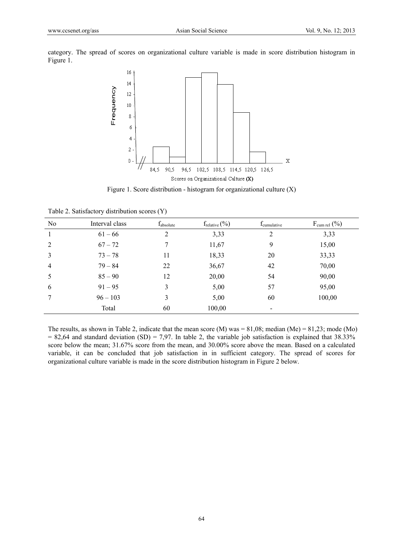category. The spread of scores on organizational culture variable is made in score distribution histogram in Figure 1.



Figure 1. Score distribution - histogram for organizational culture (X)

| N <sub>o</sub> | Interval class | $f_{absolute}$ | $f_{\text{relative}}$ $(\%)$ | $f_{\text{cumulative}}$ | $F_{\text{cum rel}}(\%)$ |
|----------------|----------------|----------------|------------------------------|-------------------------|--------------------------|
| 1              | $61 - 66$      | 2              | 3,33                         | 2                       | 3,33                     |
| 2              | $67 - 72$      |                | 11,67                        | 9                       | 15,00                    |
| 3              | $73 - 78$      | 11             | 18,33                        | 20                      | 33,33                    |
| $\overline{4}$ | $79 - 84$      | 22             | 36,67                        | 42                      | 70,00                    |
| 5              | $85 - 90$      | 12             | 20,00                        | 54                      | 90,00                    |
| 6              | $91 - 95$      | 3              | 5,00                         | 57                      | 95,00                    |
|                | $96 - 103$     | 3              | 5,00                         | 60                      | 100,00                   |
|                | Total          | 60             | 100,00                       |                         |                          |

Table 2. Satisfactory distribution scores (Y)

The results, as shown in Table 2, indicate that the mean score  $(M)$  was = 81,08; median  $(Me)$  = 81,23; mode  $(Mo)$  $= 82,64$  and standard deviation (SD) = 7,97. In table 2, the variable job satisfaction is explained that 38.33% score below the mean; 31.67% score from the mean, and 30.00% score above the mean. Based on a calculated variable, it can be concluded that job satisfaction in in sufficient category. The spread of scores for organizational culture variable is made in the score distribution histogram in Figure 2 below.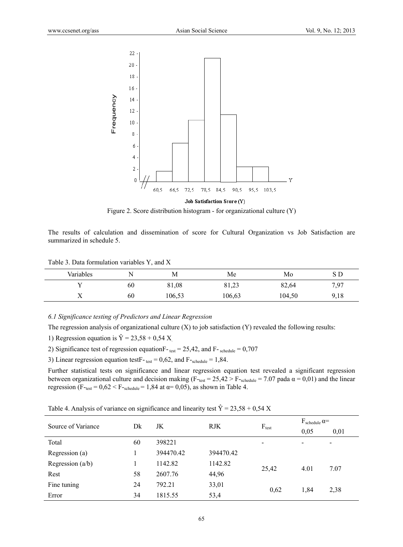

**Job Satisfaction Score (Y)** 

Figure 2. Score distribution histogram - for organizational culture (Y)

The results of calculation and dissemination of score for Cultural Organization vs Job Satisfaction are summarized in schedule 5.

Table 3. Data formulation variables Y, and X

| Variables    | N<br>. . | М      | Me                        | Mo     | S D  |
|--------------|----------|--------|---------------------------|--------|------|
|              | 60       | 81,08  | O 1<br>$\bigcap$<br>81.23 | 82,64  | 7,97 |
| $\mathbf{v}$ | 60       | 106,53 | 106,63                    | 104,50 | 9,18 |

#### *6.1 Significance testing of Predictors and Linear Regression*

The regression analysis of organizational culture  $(X)$  to job satisfaction  $(Y)$  revealed the following results:

1) Regression equation is  $\hat{Y} = 23.58 + 0.54$  X.

2) Significance test of regression equation  $F_{\text{test}} = 25,42$ , and  $F_{\text{schedule}} = 0,707$ 

3) Linear regression equation test  $F$ - test = 0,62, and  $F$ -schedule = 1,84.

Further statistical tests on significance and linear regression equation test revealed a significant regression between organizational culture and decision making ( $F_{\text{test}} = 25,42 > F_{\text{^-schedule}} = 7.07$  pada  $\alpha = 0,01$ ) and the linear regression (F- $_{\text{test}}$  = 0,62 < F- $_{\text{schedule}}$  = 1,84 at  $\alpha$ = 0,05), as shown in Table 4.

| Table 4. Analysis of variance on significance and linearity test $\hat{Y} = 23.58 + 0.54$ X |  |
|---------------------------------------------------------------------------------------------|--|
|---------------------------------------------------------------------------------------------|--|

| Source of Variance | Dk | JK        | <b>RJK</b> | $F_{test}$ | $F_{\rm schedule}$ $\alpha=$ |      |
|--------------------|----|-----------|------------|------------|------------------------------|------|
|                    |    |           |            |            | 0,05                         | 0,01 |
| Total              | 60 | 398221    |            | -          | -                            | -    |
| Regression (a)     |    | 394470.42 | 394470.42  |            |                              |      |
| Regression $(a/b)$ |    | 1142.82   | 1142.82    |            | 4.01                         | 7.07 |
| Rest               | 58 | 2607.76   | 44,96      | 25,42      |                              |      |
| Fine tuning        | 24 | 792.21    | 33,01      |            | 1,84                         | 2,38 |
| Error              | 34 | 1815.55   | 53,4       | 0,62       |                              |      |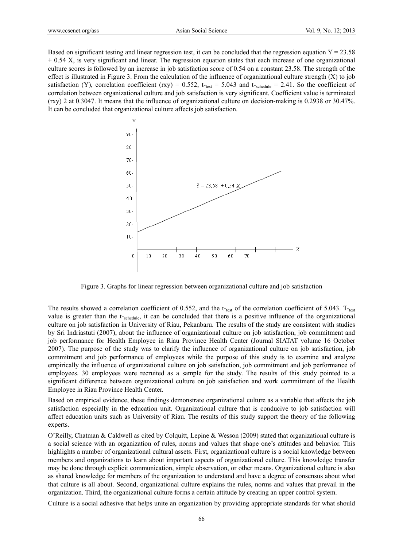Based on significant testing and linear regression test, it can be concluded that the regression equation  $Y = 23.58$ + 0.54 X, is very significant and linear. The regression equation states that each increase of one organizational culture scores is followed by an increase in job satisfaction score of 0.54 on a constant 23.58. The strength of the effect is illustrated in Figure 3. From the calculation of the influence of organizational culture strength (X) to job satisfaction (Y), correlation coefficient (rxy) = 0.552, t-t<sub>test</sub> = 5.043 and t-<sub>schedule</sub> = 2.41. So the coefficient of correlation between organizational culture and job satisfaction is very significant. Coefficient value is terminated (rxy) 2 at 0.3047. It means that the influence of organizational culture on decision-making is 0.2938 or 30.47%. It can be concluded that organizational culture affects job satisfaction.



Figure 3. Graphs for linear regression between organizational culture and job satisfaction

The results showed a correlation coefficient of 0.552, and the  $t$ -test of the correlation coefficient of 5.043. T-test value is greater than the t-schedule, it can be concluded that there is a positive influence of the organizational culture on job satisfaction in University of Riau, Pekanbaru. The results of the study are consistent with studies by Sri Indriastuti (2007), about the influence of organizational culture on job satisfaction, job commitment and job performance for Health Employee in Riau Province Health Center (Journal SIATAT volume 16 October 2007). The purpose of the study was to clarify the influence of organizational culture on job satisfaction, job commitment and job performance of employees while the purpose of this study is to examine and analyze empirically the influence of organizational culture on job satisfaction, job commitment and job performance of employees. 30 employees were recruited as a sample for the study. The results of this study pointed to a significant difference between organizational culture on job satisfaction and work commitment of the Health Employee in Riau Province Health Center.

Based on empirical evidence, these findings demonstrate organizational culture as a variable that affects the job satisfaction especially in the education unit. Organizational culture that is conducive to job satisfaction will affect education units such as University of Riau. The results of this study support the theory of the following experts.

O'Reilly, Chatman & Caldwell as cited by Colquitt, Lepine & Wesson (2009) stated that organizational culture is a social science with an organization of rules, norms and values that shape one's attitudes and behavior. This highlights a number of organizational cultural assets. First, organizational culture is a social knowledge between members and organizations to learn about important aspects of organizational culture. This knowledge transfer may be done through explicit communication, simple observation, or other means. Organizational culture is also as shared knowledge for members of the organization to understand and have a degree of consensus about what that culture is all about. Second, organizational culture explains the rules, norms and values that prevail in the organization. Third, the organizational culture forms a certain attitude by creating an upper control system.

Culture is a social adhesive that helps unite an organization by providing appropriate standards for what should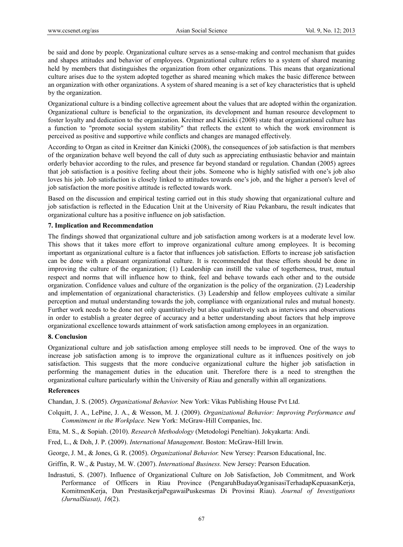be said and done by people. Organizational culture serves as a sense-making and control mechanism that guides and shapes attitudes and behavior of employees. Organizational culture refers to a system of shared meaning held by members that distinguishes the organization from other organizations. This means that organizational culture arises due to the system adopted together as shared meaning which makes the basic difference between an organization with other organizations. A system of shared meaning is a set of key characteristics that is upheld by the organization.

Organizational culture is a binding collective agreement about the values that are adopted within the organization. Organizational culture is beneficial to the organization, its development and human resource development to foster loyalty and dedication to the organization. Kreitner and Kinicki (2008) state that organizational culture has a function to "promote social system stability" that reflects the extent to which the work environment is perceived as positive and supportive while conflicts and changes are managed effectively.

According to Organ as cited in Kreitner dan Kinicki (2008), the consequences of job satisfaction is that members of the organization behave well beyond the call of duty such as appreciating enthusiastic behavior and maintain orderly behavior according to the rules, and presence far beyond standard or regulation. Chandan (2005) agrees that job satisfaction is a positive feeling about their jobs. Someone who is highly satisfied with one's job also loves his job. Job satisfaction is closely linked to attitudes towards one's job, and the higher a person's level of job satisfaction the more positive attitude is reflected towards work.

Based on the discussion and empirical testing carried out in this study showing that organizational culture and job satisfaction is reflected in the Education Unit at the University of Riau Pekanbaru, the result indicates that organizational culture has a positive influence on job satisfaction.

# **7. Implication and Recommendation**

The findings showed that organizational culture and job satisfaction among workers is at a moderate level low. This shows that it takes more effort to improve organizational culture among employees. It is becoming important as organizational culture is a factor that influences job satisfaction. Efforts to increase job satisfaction can be done with a pleasant organizational culture. It is recommended that these efforts should be done in improving the culture of the organization; (1) Leadership can instill the value of togetherness, trust, mutual respect and norms that will influence how to think, feel and behave towards each other and to the outside organization. Confidence values and culture of the organization is the policy of the organization. (2) Leadership and implementation of organizational characteristics. (3) Leadership and fellow employees cultivate a similar perception and mutual understanding towards the job, compliance with organizational rules and mutual honesty. Further work needs to be done not only quantitatively but also qualitatively such as interviews and observations in order to establish a greater degree of accuracy and a better understanding about factors that help improve organizational excellence towards attainment of work satisfaction among employees in an organization.

### **8. Conclusion**

Organizational culture and job satisfaction among employee still needs to be improved. One of the ways to increase job satisfaction among is to improve the organizational culture as it influences positively on job satisfaction. This suggests that the more conducive organizational culture the higher job satisfaction in performing the management duties in the education unit. Therefore there is a need to strengthen the organizational culture particularly within the University of Riau and generally within all organizations.

### **References**

Chandan, J. S. (2005). *Organizational Behavior.* New York: Vikas Publishing House Pvt Ltd.

Colquitt, J. A., LePine, J. A., & Wesson, M. J. (2009). *Organizational Behavior: Improving Performance and Commitment in the Workplace.* New York: McGraw-Hill Companies, Inc.

- Etta, M. S., & Sopiah. (2010). *Research Methodology* (Metodologi Peneltian). Jokyakarta: Andi.
- Fred, L., & Doh, J. P. (2009). *International Management*. Boston: McGraw-Hill Irwin.
- George, J. M., & Jones, G. R. (2005). *Organizational Behavior.* New Yersey: Pearson Educational, Inc.

Griffin, R. W., & Pustay, M. W. (2007). *International Business.* New Jersey: Pearson Education.

Indrastuti, S. (2007). Influence of Organizational Culture on Job Satisfaction, Job Commitment, and Work Performance of Officers in Riau Province (PengaruhBudayaOrganisasiTerhadapKepuasanKerja, KomitmenKerja, Dan PrestasikerjaPegawaiPuskesmas Di Provinsi Riau). *Journal of Investigations (JurnalSiasat), 16*(2).